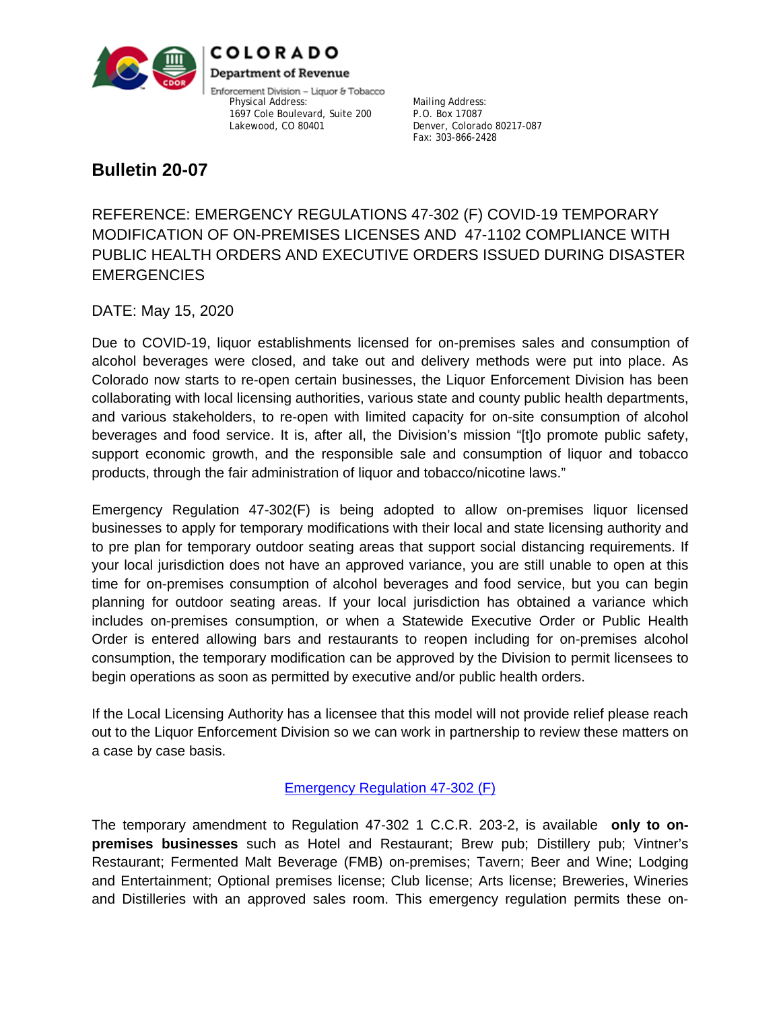

COLORADO **Department of Revenue** 

Enforcement Division - Liquor & Tobacco Physical Address: Mailing Address: 1697 Cole Boulevard, Suite 200 P.O. Box 17087<br>Lakewood, CO 80401

Denver, Colorado 80217-087 Fax: 303-866-2428

# **Bulletin 20-07**

REFERENCE: EMERGENCY REGULATIONS 47-302 (F) COVID-19 TEMPORARY MODIFICATION OF ON-PREMISES LICENSES AND 47-1102 COMPLIANCE WITH PUBLIC HEALTH ORDERS AND EXECUTIVE ORDERS ISSUED DURING DISASTER **EMERGENCIES** 

DATE: May 15, 2020

Due to COVID-19, liquor establishments licensed for on-premises sales and consumption of alcohol beverages were closed, and take out and delivery methods were put into place. As Colorado now starts to re-open certain businesses, the Liquor Enforcement Division has been collaborating with local licensing authorities, various state and county public health departments, and various stakeholders, to re-open with limited capacity for on-site consumption of alcohol beverages and food service. It is, after all, the Division's mission "[t]o promote public safety, support economic growth, and the responsible sale and consumption of liquor and tobacco products, through the fair administration of liquor and tobacco/nicotine laws."

Emergency Regulation 47-302(F) is being adopted to allow on-premises liquor licensed businesses to apply for temporary modifications with their local and state licensing authority and to pre plan for temporary outdoor seating areas that support social distancing requirements. If your local jurisdiction does not have an approved variance, you are still unable to open at this time for on-premises consumption of alcohol beverages and food service, but you can begin planning for outdoor seating areas. If your local jurisdiction has obtained a variance which includes on-premises consumption, or when a Statewide Executive Order or Public Health Order is entered allowing bars and restaurants to reopen including for on-premises alcohol consumption, the temporary modification can be approved by the Division to permit licensees to begin operations as soon as permitted by executive and/or public health orders.

If the Local Licensing Authority has a licensee that this model will not provide relief please reach out to the Liquor Enforcement Division so we can work in partnership to review these matters on a case by case basis.

# [Emergency Regulation 47-302 \(F\)](https://www.colorado.gov/pacific/sites/default/files/Bulletin%2020.07%20LED%20Emergency%20Regulation%2047-302_Redlines%20by%20GOV%20Policy.pdf)

The temporary amendment to Regulation 47-302 1 C.C.R. 203-2, is available **only to onpremises businesses** such as Hotel and Restaurant; Brew pub; Distillery pub; Vintner's Restaurant; Fermented Malt Beverage (FMB) on-premises; Tavern; Beer and Wine; Lodging and Entertainment; Optional premises license; Club license; Arts license; Breweries, Wineries and Distilleries with an approved sales room. This emergency regulation permits these on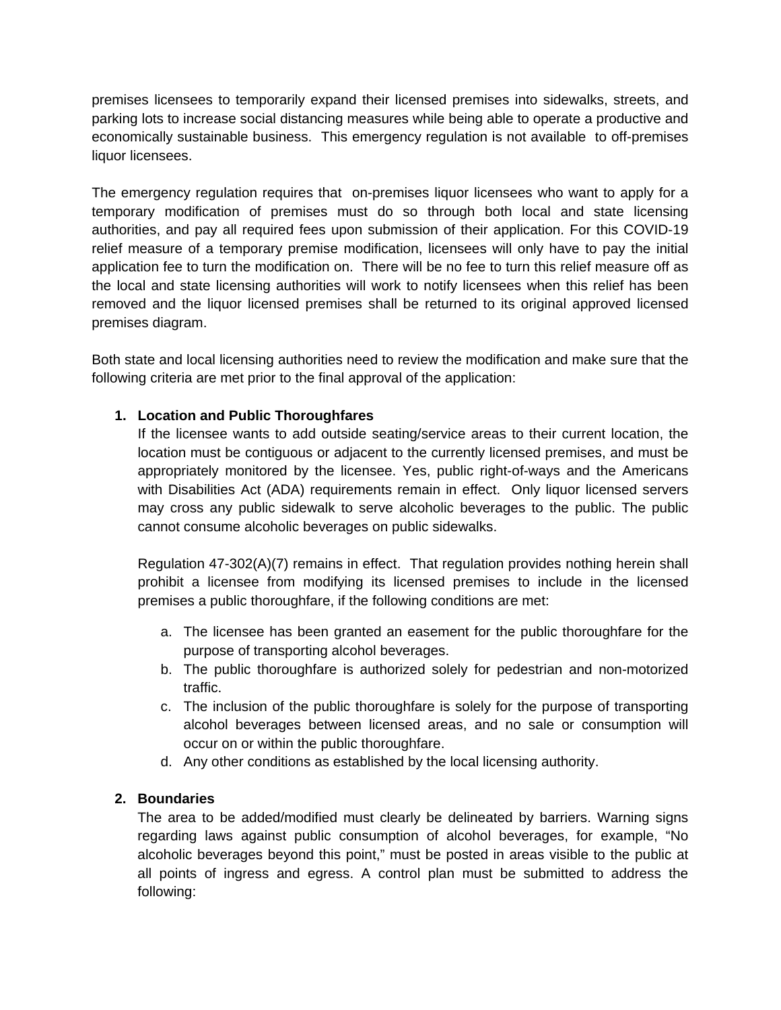premises licensees to temporarily expand their licensed premises into sidewalks, streets, and parking lots to increase social distancing measures while being able to operate a productive and economically sustainable business. This emergency regulation is not available to off-premises liquor licensees.

The emergency regulation requires that on-premises liquor licensees who want to apply for a temporary modification of premises must do so through both local and state licensing authorities, and pay all required fees upon submission of their application. For this COVID-19 relief measure of a temporary premise modification, licensees will only have to pay the initial application fee to turn the modification on. There will be no fee to turn this relief measure off as the local and state licensing authorities will work to notify licensees when this relief has been removed and the liquor licensed premises shall be returned to its original approved licensed premises diagram.

Both state and local licensing authorities need to review the modification and make sure that the following criteria are met prior to the final approval of the application:

# **1. Location and Public Thoroughfares**

If the licensee wants to add outside seating/service areas to their current location, the location must be contiguous or adjacent to the currently licensed premises, and must be appropriately monitored by the licensee. Yes, public right-of-ways and the Americans with Disabilities Act (ADA) requirements remain in effect. Only liquor licensed servers may cross any public sidewalk to serve alcoholic beverages to the public. The public cannot consume alcoholic beverages on public sidewalks.

Regulation 47-302(A)(7) remains in effect. That regulation provides nothing herein shall prohibit a licensee from modifying its licensed premises to include in the licensed premises a public thoroughfare, if the following conditions are met:

- a. The licensee has been granted an easement for the public thoroughfare for the purpose of transporting alcohol beverages.
- b. The public thoroughfare is authorized solely for pedestrian and non-motorized traffic.
- c. The inclusion of the public thoroughfare is solely for the purpose of transporting alcohol beverages between licensed areas, and no sale or consumption will occur on or within the public thoroughfare.
- d. Any other conditions as established by the local licensing authority.

#### **2. Boundaries**

The area to be added/modified must clearly be delineated by barriers. Warning signs regarding laws against public consumption of alcohol beverages, for example, "No alcoholic beverages beyond this point," must be posted in areas visible to the public at all points of ingress and egress. A control plan must be submitted to address the following: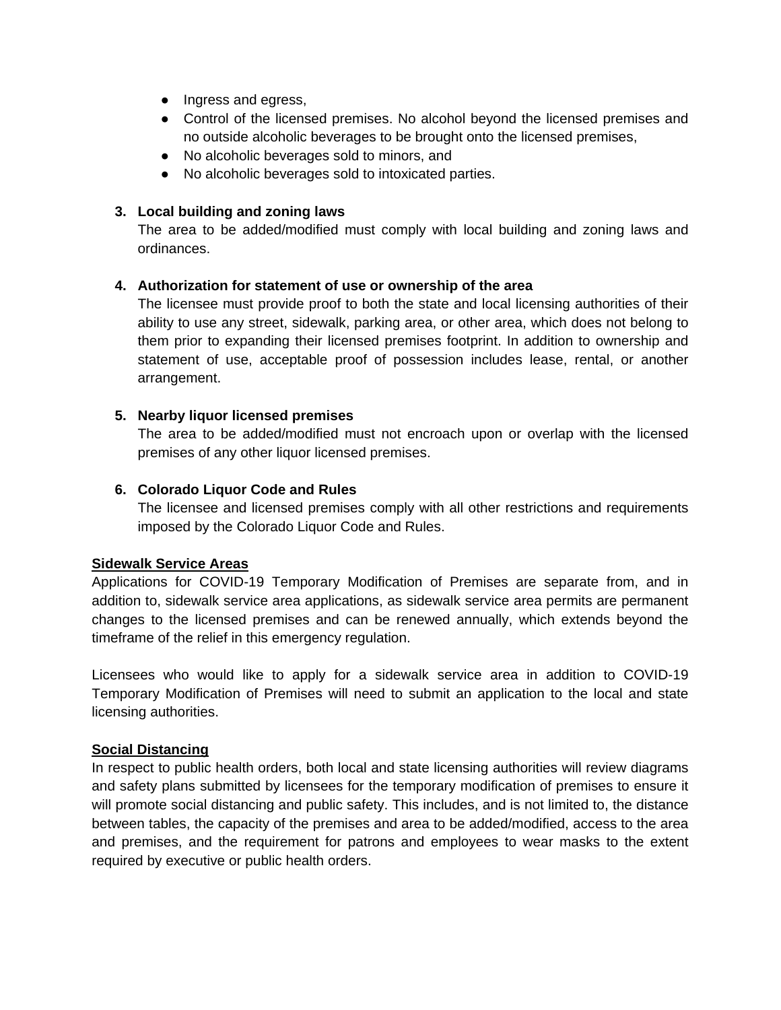- Ingress and egress,
- Control of the licensed premises. No alcohol beyond the licensed premises and no outside alcoholic beverages to be brought onto the licensed premises,
- No alcoholic beverages sold to minors, and
- No alcoholic beverages sold to intoxicated parties.

#### **3. Local building and zoning laws**

The area to be added/modified must comply with local building and zoning laws and ordinances.

#### **4. Authorization for statement of use or ownership of the area**

The licensee must provide proof to both the state and local licensing authorities of their ability to use any street, sidewalk, parking area, or other area, which does not belong to them prior to expanding their licensed premises footprint. In addition to ownership and statement of use, acceptable proof of possession includes lease, rental, or another arrangement.

#### **5. Nearby liquor licensed premises**

The area to be added/modified must not encroach upon or overlap with the licensed premises of any other liquor licensed premises.

#### **6. Colorado Liquor Code and Rules**

The licensee and licensed premises comply with all other restrictions and requirements imposed by the Colorado Liquor Code and Rules.

#### **Sidewalk Service Areas**

Applications for COVID-19 Temporary Modification of Premises are separate from, and in addition to, sidewalk service area applications, as sidewalk service area permits are permanent changes to the licensed premises and can be renewed annually, which extends beyond the timeframe of the relief in this emergency regulation.

Licensees who would like to apply for a sidewalk service area in addition to COVID-19 Temporary Modification of Premises will need to submit an application to the local and state licensing authorities.

#### **Social Distancing**

In respect to public health orders, both local and state licensing authorities will review diagrams and safety plans submitted by licensees for the temporary modification of premises to ensure it will promote social distancing and public safety. This includes, and is not limited to, the distance between tables, the capacity of the premises and area to be added/modified, access to the area and premises, and the requirement for patrons and employees to wear masks to the extent required by executive or public health orders.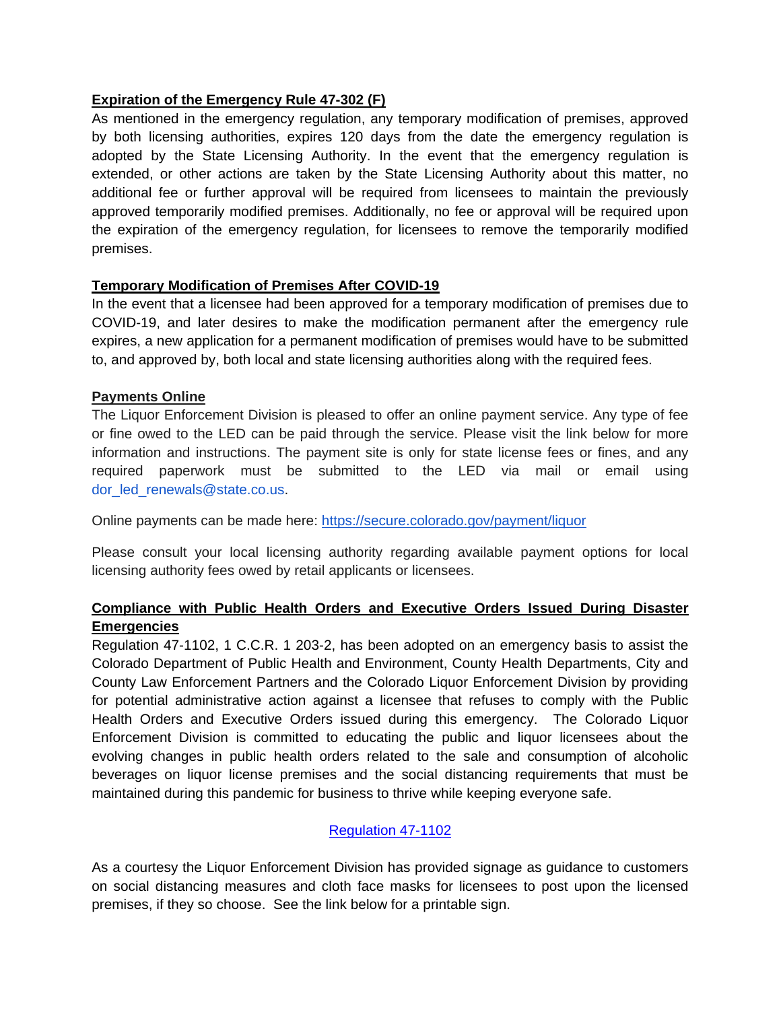#### **Expiration of the Emergency Rule 47-302 (F)**

As mentioned in the emergency regulation, any temporary modification of premises, approved by both licensing authorities, expires 120 days from the date the emergency regulation is adopted by the State Licensing Authority. In the event that the emergency regulation is extended, or other actions are taken by the State Licensing Authority about this matter, no additional fee or further approval will be required from licensees to maintain the previously approved temporarily modified premises. Additionally, no fee or approval will be required upon the expiration of the emergency regulation, for licensees to remove the temporarily modified premises.

#### **Temporary Modification of Premises After COVID-19**

In the event that a licensee had been approved for a temporary modification of premises due to COVID-19, and later desires to make the modification permanent after the emergency rule expires, a new application for a permanent modification of premises would have to be submitted to, and approved by, both local and state licensing authorities along with the required fees.

#### **Payments Online**

The Liquor Enforcement Division is pleased to offer an online payment service. Any type of fee or fine owed to the LED can be paid through the service. Please visit the link below for more information and instructions. The payment site is only for state license fees or fines, and any required paperwork must be submitted to the LED via mail or email using dor led renewals@state.co.us.

Online payments can be made here:<https://secure.colorado.gov/payment/liquor>

Please consult your local licensing authority regarding available payment options for local licensing authority fees owed by retail applicants or licensees.

### **Compliance with Public Health Orders and Executive Orders Issued During Disaster Emergencies**

Regulation 47-1102, 1 C.C.R. 1 203-2, has been adopted on an emergency basis to assist the Colorado Department of Public Health and Environment, County Health Departments, City and County Law Enforcement Partners and the Colorado Liquor Enforcement Division by providing for potential administrative action against a licensee that refuses to comply with the Public Health Orders and Executive Orders issued during this emergency. The Colorado Liquor Enforcement Division is committed to educating the public and liquor licensees about the evolving changes in public health orders related to the sale and consumption of alcoholic beverages on liquor license premises and the social distancing requirements that must be maintained during this pandemic for business to thrive while keeping everyone safe.

#### [Regulation 47-1102](https://multimedia.getresponse.com/getresponse-BNcmV/documents/7447abd7-c6f5-466d-b906-5e681aef9c5d.pdf)

As a courtesy the Liquor Enforcement Division has provided signage as guidance to customers on social distancing measures and cloth face masks for licensees to post upon the licensed premises, if they so choose. See the link below for a printable sign.